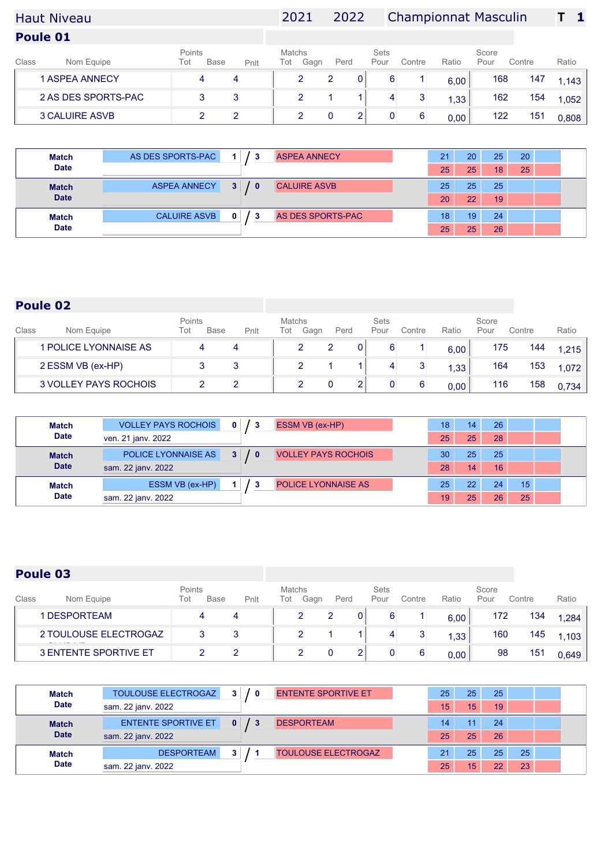# Haut Niveau 2021 2022 Championnat Masculin **T 1**

**Poule 01**

| Class | Nom Equipe            | Points<br>Tot | <b>Base</b> | Pnlt | Matchs<br>Tot | Gagn | Perd | Sets<br>Pour | Contre | Ratio | Score<br>Pour | Contre | Ratio |
|-------|-----------------------|---------------|-------------|------|---------------|------|------|--------------|--------|-------|---------------|--------|-------|
|       | <b>1 ASPEA ANNECY</b> |               | 4           |      |               |      |      |              |        | 6,00  | 168           | 147    | .143  |
|       | 2 AS DES SPORTS-PAC   |               |             |      |               |      |      |              |        | , 33  | 162           | 154    | ,052  |
|       | <b>3 CALUIRE ASVB</b> |               |             |      |               |      |      |              |        | 0,00  | 122           | 151    | 0.808 |

| <b>Match</b> | AS DES SPORTS-PAC   |              | <b>ASPEA ANNECY</b> | 21<br>20 | 25 | 20 |  |
|--------------|---------------------|--------------|---------------------|----------|----|----|--|
| <b>Date</b>  |                     |              |                     | 25<br>25 | 18 | 25 |  |
| <b>Match</b> | <b>ASPEA ANNECY</b> | $\mathbf{0}$ | <b>CALUIRE ASVB</b> | 25<br>25 | 25 |    |  |
| <b>Date</b>  |                     |              |                     | 20<br>22 | 19 |    |  |
| <b>Match</b> | <b>CALUIRE ASVB</b> | -3           | AS DES SPORTS-PAC   | 18<br>19 | 24 |    |  |
| <b>Date</b>  |                     |              |                     | 25<br>25 | 26 |    |  |

## **Poule 02**

| Class | Nom Equipe            | Points<br>Tot | <b>Base</b> | Pnlt | <b>Matchs</b><br>Tot | Gagn | Perd | <b>Sets</b><br>Pour | Contre | Ratio | Score<br>Pour | Contre | Ratio |
|-------|-----------------------|---------------|-------------|------|----------------------|------|------|---------------------|--------|-------|---------------|--------|-------|
|       | I POLICE LYONNAISE AS |               | 4           |      |                      |      |      |                     |        | 6,00  | 175           | 144    | 1.215 |
|       | 2 ESSM VB (ex-HP)     |               |             |      |                      |      |      |                     |        | 1,33  | 164           | 153    | 1,072 |
|       | 3 VOLLEY PAYS ROCHOIS |               |             |      |                      |      |      |                     | 6      | 0,00  | 116           | 158    | 0.734 |

| <b>Match</b> | <b>VOLLEY PAYS ROCHOIS</b> | $\mathbf{0}$                 | <b>ESSM VB (ex-HP)</b>     | 18 | 14           | 26              |    |  |
|--------------|----------------------------|------------------------------|----------------------------|----|--------------|-----------------|----|--|
| <b>Date</b>  | ven. 21 janv. 2022         |                              |                            | 25 | 25           | 28              |    |  |
| <b>Match</b> | POLICE LYONNAISE AS        | 3 <sup>1</sup><br>$\sqrt{0}$ | <b>VOLLEY PAYS ROCHOIS</b> | 30 | 25           | 25              |    |  |
| <b>Date</b>  | sam. 22 janv. 2022         |                              |                            | 28 | 14           | 16              |    |  |
| <b>Match</b> | ESSM VB (ex-HP)            |                              | <b>POLICE LYONNAISE AS</b> | 25 | $22^{\circ}$ | 24              | 15 |  |
| <b>Date</b>  | sam. 22 jany. 2022         |                              |                            | 19 | 25           | 26 <sup>1</sup> | 25 |  |

| Class | Nom Equipe                   | Points<br>Tot | Base   | Pnlt | Matchs<br>Tot | Gagn     | Perd |                | Sets<br>Pour | Contre | Ratio | Score<br>Pour | Contre | Ratio |
|-------|------------------------------|---------------|--------|------|---------------|----------|------|----------------|--------------|--------|-------|---------------|--------|-------|
|       | 1 DESPORTEAM                 |               | 4      |      |               | <u>.</u> |      | 0 <sup>1</sup> | 6            |        | 6,00  | 172           | 134    | 1.284 |
|       | 2 TOULOUSE ELECTROGAZ        |               | ຈ<br>J |      |               |          |      |                |              |        | 1,33  | 160           | 145    | 1.103 |
|       | <b>3 ENTENTE SPORTIVE ET</b> |               |        |      |               |          |      |                |              | 6      | 0.00  | 98            | 151    | 0.649 |

| <b>Match</b> | <b>TOULOUSE ELECTROGAZ</b> | 3 <sup>1</sup><br>/0 | <b>ENTENTE SPORTIVE ET</b> | 25 | 25 | 25 |    |  |
|--------------|----------------------------|----------------------|----------------------------|----|----|----|----|--|
| <b>Date</b>  | sam. 22 jany. 2022         |                      |                            | 15 | 15 | 19 |    |  |
| <b>Match</b> | <b>ENTENTE SPORTIVE ET</b> |                      | <b>DESPORTEAM</b>          | 14 | 11 | 24 |    |  |
| <b>Date</b>  | sam. 22 janv. 2022         |                      |                            | 25 | 25 | 26 |    |  |
| <b>Match</b> | <b>DESPORTEAM</b>          |                      | <b>TOULOUSE ELECTROGAZ</b> | 21 | 25 | 25 | 25 |  |
| <b>Date</b>  | sam. 22 jany. 2022         |                      |                            | 25 | 15 | つつ | 23 |  |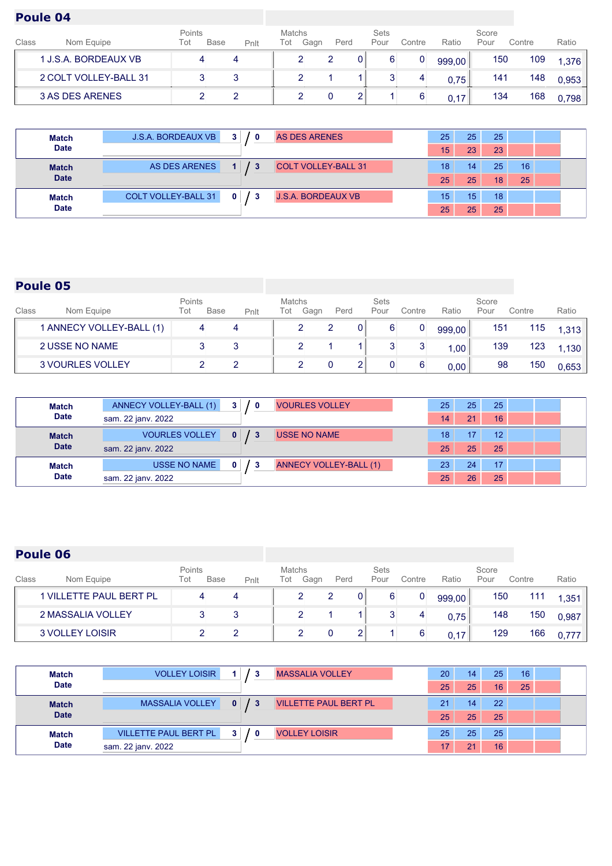| Class | Nom Equipe            | Points<br>Tot | <b>Base</b> | Pnlt | Matchs<br>Tot | Gagn | Perd | Sets<br>Pour | Contre      | Ratio  | Score<br>Pour | Contre | Ratio |
|-------|-----------------------|---------------|-------------|------|---------------|------|------|--------------|-------------|--------|---------------|--------|-------|
|       | 1 J.S.A. BORDEAUX VB  |               |             |      |               |      |      |              | $\mathbf 0$ | 999,00 | 150           | 109    | 1,376 |
|       | 2 COLT VOLLEY-BALL 31 |               |             |      |               |      |      |              |             | 0.75   | 141           | 148    | 0.953 |
|       | 3 AS DES ARENES       |               |             |      |               |      |      |              |             | 0.17   | 134           | 168    | 0.798 |

| Match        | <b>J.S.A. BORDEAUX VB</b>  | 3 <sup>1</sup> | AS DES ARENES              | 25 | 25 | 25 |    |  |
|--------------|----------------------------|----------------|----------------------------|----|----|----|----|--|
| <b>Date</b>  |                            |                |                            | 15 | 23 | 23 |    |  |
| <b>Match</b> | AS DES ARENES              | - 3            | <b>COLT VOLLEY-BALL 31</b> | 18 | 14 | 25 | 16 |  |
| <b>Date</b>  |                            |                |                            | 25 | 25 | 18 | 25 |  |
| <b>Match</b> | <b>COLT VOLLEY-BALL 31</b> | 0              | <b>J.S.A. BORDEAUX VB</b>  | 15 | 15 | 18 |    |  |
| <b>Date</b>  |                            |                |                            | 25 | 25 | 25 |    |  |

## **Poule 05**

| Class | Nom Equipe               | Points<br>Tot | <b>Base</b> | Pnlt | Matchs<br>Tot | Gagn | Perd |   | Sets<br>Pour | Contre | Ratio  | Score<br>Pour | Contre | Ratio |
|-------|--------------------------|---------------|-------------|------|---------------|------|------|---|--------------|--------|--------|---------------|--------|-------|
|       | 1 ANNECY VOLLEY-BALL (1) |               |             |      |               |      |      | 0 |              | 0      | 999,00 | 151           | 115    | 1.313 |
|       | 2 USSE NO NAME           |               |             |      |               |      |      |   |              |        | 00,    | 139           | 123    | 1.130 |
|       | <b>3 VOURLES VOLLEY</b>  |               |             |      |               |      |      |   |              |        | 0.00   | 98            | 150    | 0.653 |

| Match        | ANNECY VOLLEY-BALL (1) | 3 <sup>1</sup><br>- 0 | <b>VOURLES VOLLEY</b>  | 25 | 25 <sup>2</sup> | 25              |  |
|--------------|------------------------|-----------------------|------------------------|----|-----------------|-----------------|--|
| <b>Date</b>  | sam. 22 janv. 2022     |                       |                        | 14 | 21              | 16              |  |
| <b>Match</b> | <b>VOURLES VOLLEY</b>  | $\mathbf{0}$<br>13    | <b>USSE NO NAME</b>    | 18 |                 | 12              |  |
| <b>Date</b>  | sam. 22 janv. 2022     |                       |                        | 25 | 25              | 25 <sup>1</sup> |  |
| Match        | USSE NO NAME           | 0                     | ANNECY VOLLEY-BALL (1) | 23 | 24              | 17              |  |
| <b>Date</b>  | sam. 22 janv. 2022     |                       |                        | 25 | 26              | 25              |  |

| Class | Nom Equipe                     | Points<br>Tot | <b>Base</b> | Pnlt | Matchs<br>Tot | Gagn | Perd |   | <b>Sets</b><br>Pour | Contre   | Ratio  | Score<br>Pour | Contre | Ratio |
|-------|--------------------------------|---------------|-------------|------|---------------|------|------|---|---------------------|----------|--------|---------------|--------|-------|
|       | <b>1 VILLETTE PAUL BERT PL</b> |               |             |      |               |      |      | 0 |                     | $\bf{0}$ | 999,00 | 150           | 111    | 1.351 |
|       | 2 MASSALIA VOLLEY              |               |             |      |               | 2    |      |   |                     | 4        | 0.75   | 148           | 150    | 0,987 |
|       | 3 VOLLEY LOISIR                |               |             |      |               |      |      |   |                     | 6        | 0.17   | 129           | 166    | 0.777 |

| <b>Match</b> | <b>VOLLEY LOISIR</b>         | - 3                 | <b>MASSALIA VOLLEY</b>       | 20 | 14 | 25 | 16 |  |
|--------------|------------------------------|---------------------|------------------------------|----|----|----|----|--|
| <b>Date</b>  |                              |                     |                              | 25 | 25 | 16 | 25 |  |
| <b>Match</b> | <b>MASSALIA VOLLEY</b>       | $\mathbf{0}$<br>- 3 | <b>VILLETTE PAUL BERT PL</b> | 21 | 14 | 22 |    |  |
| <b>Date</b>  |                              |                     |                              | 25 | 25 | 25 |    |  |
| <b>Match</b> | <b>VILLETTE PAUL BERT PL</b> | 0                   | <b>VOLLEY LOISIR</b>         | 25 | 25 | 25 |    |  |
| <b>Date</b>  | sam. 22 jany. 2022           |                     |                              | 17 | 21 | 16 |    |  |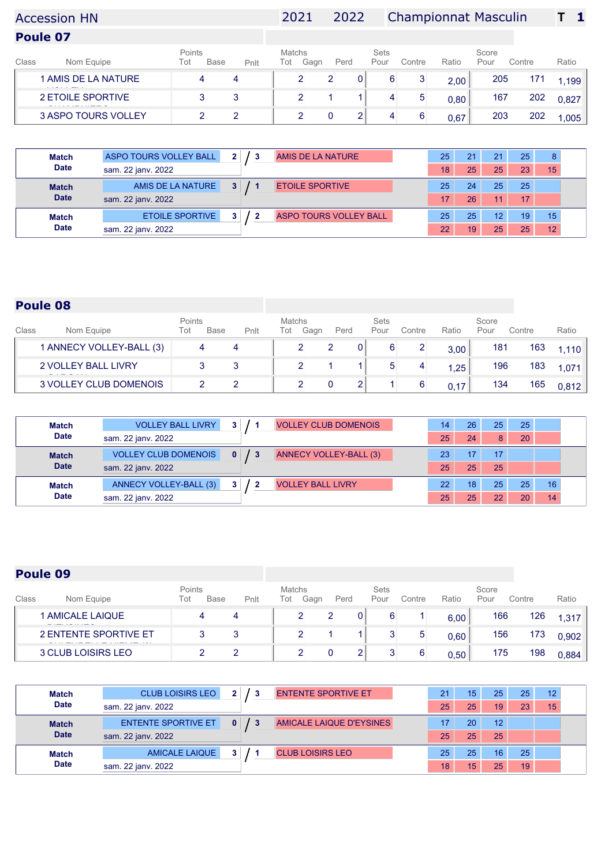# Accession HN 2021 2022 Championnat Masculin **T 1**

**Poule 07**

| 205<br>1 AMIS DE LA NATURE<br>171<br>0<br>2<br>6<br>2<br>4<br>4<br>2,00<br>1,199<br>2 ETOILE SPORTIVE<br>202<br>167<br>3<br>4<br>0,80<br>0.827<br>202<br>3 ASPO TOURS VOLLEY<br>203<br>4<br>0,67<br>.005 | Class | Nom Equipe | Points<br>Tot | <b>Base</b> | Pnlt | <b>Matchs</b><br>Tot | Gagn | Perd | <b>Sets</b><br>Pour | Contre | Ratio | Score<br>Pour | Contre | Ratio |
|----------------------------------------------------------------------------------------------------------------------------------------------------------------------------------------------------------|-------|------------|---------------|-------------|------|----------------------|------|------|---------------------|--------|-------|---------------|--------|-------|
|                                                                                                                                                                                                          |       |            |               |             |      |                      |      |      |                     |        |       |               |        |       |
|                                                                                                                                                                                                          |       |            |               |             |      |                      |      |      |                     |        |       |               |        |       |
|                                                                                                                                                                                                          |       |            |               |             |      |                      |      |      |                     |        |       |               |        |       |

| <b>Match</b> | ASPO TOURS VOLLEY BALL<br>AMIS DE LA NATURE<br>2 <sup>1</sup> | 25 | 21 |                 | 25 | 8  |
|--------------|---------------------------------------------------------------|----|----|-----------------|----|----|
| <b>Date</b>  | sam. 22 janv. 2022                                            | 18 | 25 | 25              | 23 | 15 |
| <b>Match</b> | AMIS DE LA NATURE<br>3 <sup>1</sup><br><b>ETOILE SPORTIVE</b> | 25 | 24 | 25              | 25 |    |
| <b>Date</b>  | sam. 22 janv. 2022                                            | 17 | 26 |                 | 17 |    |
| <b>Match</b> | <b>ETOILE SPORTIVE</b><br><b>ASPO TOURS VOLLEY BALL</b>       | 25 | 25 | 12              | 19 | 15 |
| <b>Date</b>  | sam. 22 jany. 2022                                            | 22 | 19 | 25 <sub>1</sub> | 25 | 12 |

## **Poule 08**

| Class | Nom Equipe                 | Points<br>Tot | <b>Base</b> | Pnlt | <b>Matchs</b><br>Tot | Gagn | Perd | Sets<br>Pour | Contre | Ratio | Score<br>Pour | Contre | Ratio |
|-------|----------------------------|---------------|-------------|------|----------------------|------|------|--------------|--------|-------|---------------|--------|-------|
|       | 1 ANNECY VOLLEY-BALL (3)   |               | 4           |      |                      |      |      |              |        | 3,00  | 181           | 163    | 1.110 |
|       | <b>2 VOLLEY BALL LIVRY</b> |               |             |      |                      |      |      |              |        | 1,25  | 196           | 183    | 1,071 |
|       | 3 VOLLEY CLUB DOMENOIS     |               |             |      |                      |      |      |              | 6      | 0.17  | 134           | 165    | 0.812 |

| <b>Match</b> | <b>VOLLEY BALL LIVRY</b>    | 3                  | <b>VOLLEY CLUB DOMENOIS</b> | 14              | 26 <sup>°</sup> | 25           | 25 |    |  |
|--------------|-----------------------------|--------------------|-----------------------------|-----------------|-----------------|--------------|----|----|--|
| <b>Date</b>  | sam. 22 janv. 2022          |                    |                             | 25              | 24              | 8            | 20 |    |  |
| <b>Match</b> | <b>VOLLEY CLUB DOMENOIS</b> | $\mathbf{0}$<br>13 | ANNECY VOLLEY-BALL (3)      | 23              |                 | 17           |    |    |  |
| <b>Date</b>  | sam. 22 jany. 2022          |                    |                             | 25              | 25              | 25           |    |    |  |
| <b>Match</b> | ANNECY VOLLEY-BALL (3)      | 3.                 | <b>VOLLEY BALL LIVRY</b>    | 22 <sup>1</sup> | 18 <sup>°</sup> | 25           | 25 | 16 |  |
| <b>Date</b>  | sam. 22 janv. 2022          |                    |                             | 25              | 25              | $22^{\circ}$ | 20 | 14 |  |

| Class | Nom Equipe            | Points<br>Tot | <b>Base</b> | Pnlt | <b>Matchs</b><br>Tot | Gagn | Perd | Sets<br>Pour | Contre | Ratio | Score<br>Pour | Contre | Ratio |
|-------|-----------------------|---------------|-------------|------|----------------------|------|------|--------------|--------|-------|---------------|--------|-------|
|       | 1 AMICALE LAIQUE      |               | 4           |      |                      |      |      |              |        | 6,00  | 166           | 126    | 1,317 |
|       | 2 ENTENTE SPORTIVE ET |               | 3           |      |                      |      |      |              | 5      | 0,60  | 156           | 173    | 0,902 |
|       | 3 CLUB LOISIRS LEO    |               |             |      |                      |      |      |              | 6      | 0.50  | 175           | 198    | 0,884 |

| <b>Match</b> | <b>CLUB LOISIRS LEO</b>    |              | <b>ENTENTE SPORTIVE ET</b> | 21 | 15 <sup>2</sup> | 25. | 25 | 12 |  |
|--------------|----------------------------|--------------|----------------------------|----|-----------------|-----|----|----|--|
| <b>Date</b>  | sam. 22 jany. 2022         |              |                            | 25 | 25              | 19  | 23 | 15 |  |
| <b>Match</b> | <b>ENTENTE SPORTIVE ET</b> | $\mathbf{0}$ | AMICALE LAIQUE D'EYSINES   |    | 20              | 12  |    |    |  |
| <b>Date</b>  | sam. 22 janv. 2022         |              |                            | 25 | 25              | 25  |    |    |  |
| <b>Match</b> | <b>AMICALE LAIQUE</b>      |              | <b>CLUB LOISIRS LEO</b>    | 25 | 25              | 16  | 25 |    |  |
| <b>Date</b>  | sam. 22 jany. 2022         |              |                            | 18 | 15              | 25  | 19 |    |  |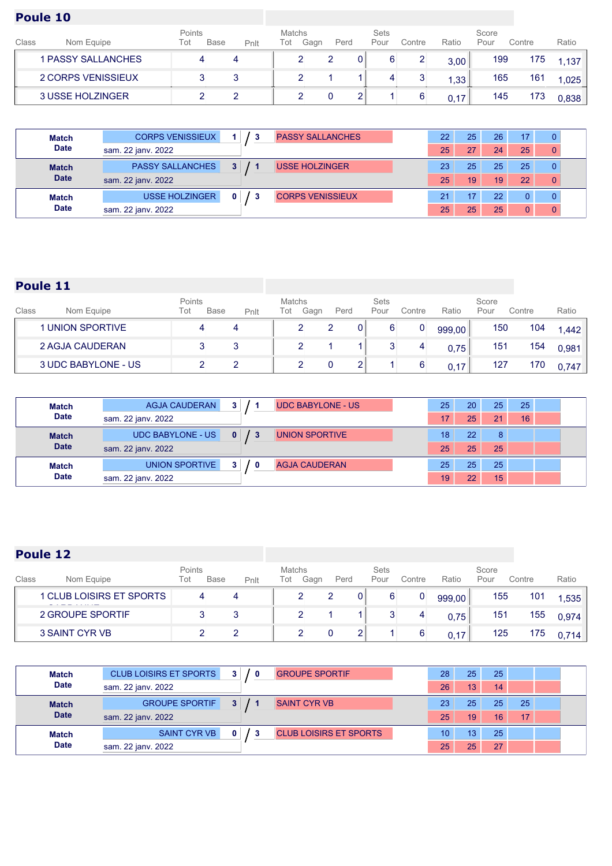| Class | Nom Equipe         | Points<br>Tot | <b>Base</b> | Pnlt | Matchs<br>Tot | Gagn | Perd | Sets<br>Pour | Contre | Ratio | Score<br>Pour | Contre | Ratio             |
|-------|--------------------|---------------|-------------|------|---------------|------|------|--------------|--------|-------|---------------|--------|-------------------|
|       | 1 PASSY SALLANCHES |               | 4           |      |               |      |      |              |        | 3,00  | 199           | 175    | .137 <sub>1</sub> |
|       | 2 CORPS VENISSIEUX |               |             |      |               |      |      |              |        | 1,33  | 165           | 161    | 1,025             |
|       | 3 USSE HOLZINGER   |               |             |      |               |      |      |              |        | 0.17  | 145           | 173    | 0,838             |

| <b>Match</b> | <b>CORPS VENISSIEUX</b> |                | <b>PASSY SALLANCHES</b> | 22 | 25 | 26 |    |             |  |
|--------------|-------------------------|----------------|-------------------------|----|----|----|----|-------------|--|
| <b>Date</b>  | sam. 22 janv. 2022      |                |                         | 25 | 27 | 24 | 25 | $\mathbf 0$ |  |
| <b>Match</b> | <b>PASSY SALLANCHES</b> | 3 <sup>1</sup> | <b>USSE HOLZINGER</b>   | 23 | 25 | 25 | 25 | $\Omega$    |  |
| <b>Date</b>  | sam. 22 janv. 2022      |                |                         | 25 | 19 | 19 | 22 | 0           |  |
| <b>Match</b> | <b>USSE HOLZINGER</b>   | 0              | <b>CORPS VENISSIEUX</b> | 21 |    | 22 |    |             |  |
| <b>Date</b>  | sam. 22 janv. 2022      |                |                         | 25 | 25 | 25 |    |             |  |

## **Poule 11**

| Class | Nom Equipe              | Points<br>Tot | <b>Base</b> | Pnlt | Matchs<br>Tot | Gagn | Perd |    | Sets<br>Pour | Contre | Ratio  | Score<br>Pour | Contre | Ratio |
|-------|-------------------------|---------------|-------------|------|---------------|------|------|----|--------------|--------|--------|---------------|--------|-------|
|       | <b>1 UNION SPORTIVE</b> |               | 4           |      |               |      |      | 01 |              |        | 999,00 | 150           | 104    | 1.442 |
|       | 2 AGJA CAUDERAN         |               |             |      |               |      |      |    |              | 4      | 0.75   | 151           | 154    | 0.981 |
|       | 3 UDC BABYLONE - US     |               |             |      |               |      |      |    |              |        | 0.17   | 127           | 170    | 0.747 |

| Match        | <b>AGJA CAUDERAN</b><br>3 <sup>1</sup><br><b>UDC BABYLONE - US</b>              | 25 | $20^{\circ}$ | 25              | 25 |  |
|--------------|---------------------------------------------------------------------------------|----|--------------|-----------------|----|--|
| <b>Date</b>  | sam. 22 jany. 2022                                                              | 17 | 25           | 21              | 16 |  |
| <b>Match</b> | <b>UDC BABYLONE - US</b><br>$\mathbf{0}$<br>$\sqrt{3}$<br><b>UNION SPORTIVE</b> | 18 | 22           | 8               |    |  |
| <b>Date</b>  | sam. 22 janv. 2022                                                              | 25 | 25           | 25 <sup>1</sup> |    |  |
| <b>Match</b> | UNION SPORTIVE<br><b>AGJA CAUDERAN</b><br>3.<br>0                               | 25 | 25           | 25              |    |  |
| <b>Date</b>  | sam. 22 janv. 2022                                                              | 19 | 22           | 15              |    |  |

| Class | Nom Equipe               | Points<br>Tot | <b>Base</b> | Pnlt | Matchs<br>Tot | Gagn | Perd | <b>Sets</b><br>Pour | Contre | Ratio  | Score<br>Pour | Contre | Ratio |
|-------|--------------------------|---------------|-------------|------|---------------|------|------|---------------------|--------|--------|---------------|--------|-------|
|       | 1 CLUB LOISIRS ET SPORTS |               | 4           |      |               | ∼    | 2    |                     | 0      | 999,00 | 155           | 101    | 1,535 |
|       | 2 GROUPE SPORTIF         |               |             |      |               |      |      |                     | 4      | 0.75   | 151           | 155    | 0.974 |
|       | 3 SAINT CYR VB           |               |             |      |               |      |      |                     |        | 0.17   | 125           | 175    | 0.714 |

| <b>Match</b> | <b>CLUB LOISIRS ET SPORTS</b> | 3 <sup>1</sup><br>$\sqrt{0}$ | <b>GROUPE SPORTIF</b>         | 28 | 25              | 25 |    |  |
|--------------|-------------------------------|------------------------------|-------------------------------|----|-----------------|----|----|--|
| <b>Date</b>  | sam. 22 jany. 2022            |                              |                               | 26 | 13 <sub>1</sub> | 14 |    |  |
| <b>Match</b> | <b>GROUPE SPORTIF</b>         | 3 <sup>1</sup>               | <b>SAINT CYR VB</b>           | 23 | 25              | 25 | 25 |  |
| <b>Date</b>  | sam. 22 janv. 2022            |                              |                               | 25 | 19              | 16 | 17 |  |
| <b>Match</b> | SAINT CYR VB                  | - 3                          | <b>CLUB LOISIRS ET SPORTS</b> | 10 | 13              | 25 |    |  |
| <b>Date</b>  | sam. 22 jany. 2022            |                              |                               | 25 | 25              | 27 |    |  |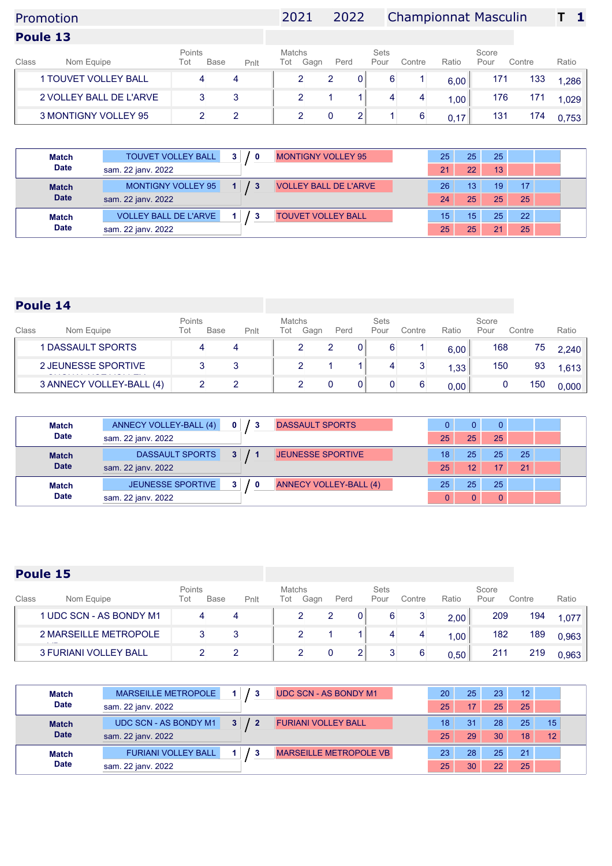# Promotion 2021 2022 Championnat Masculin **T 1**

|       | Poule 13                    |               |             |      |               |      |      |                     |        |                   |               |        |       |
|-------|-----------------------------|---------------|-------------|------|---------------|------|------|---------------------|--------|-------------------|---------------|--------|-------|
| Class | Nom Equipe                  | Points<br>Tot | <b>Base</b> | Pnlt | Matchs<br>Tot | Gagn | Perd | <b>Sets</b><br>Pour | Contre | Ratio             | Score<br>Pour | Contre | Ratio |
|       | <b>1 TOUVET VOLLEY BALL</b> |               |             |      |               |      |      |                     |        | 6.00              | 171           | 133    | 1.286 |
|       | 2 VOLLEY BALL DE L'ARVE     |               |             |      |               |      |      |                     | 4      | 1.00 <sub>1</sub> | 176           |        | ,029  |

| <b>Match</b> | <b>TOUVET VOLLEY BALL</b>    | 3 <sup>1</sup><br>$\sqrt{0}$ | <b>MONTIGNY VOLLEY 95</b>    |    | 25<br>25              | 25 |    |  |
|--------------|------------------------------|------------------------------|------------------------------|----|-----------------------|----|----|--|
| <b>Date</b>  | sam. 22 jany. 2022           |                              |                              | 21 | $22^{\circ}$          | 13 |    |  |
| <b>Match</b> | MONTIGNY VOLLEY 95           |                              | <b>VOLLEY BALL DE L'ARVE</b> |    | 26<br>13              | 19 | 17 |  |
| <b>Date</b>  | sam. 22 janv. 2022           |                              |                              |    | 25<br>24              | 25 | 25 |  |
| <b>Match</b> | <b>VOLLEY BALL DE L'ARVE</b> |                              | <b>TOUVET VOLLEY BALL</b>    |    | 15 <sup>2</sup><br>15 | 25 | 22 |  |
| <b>Date</b>  | sam. 22 jany. 2022           |                              |                              |    | 25<br>25              | つィ | 25 |  |

3 MONTIGNY VOLLEY 95 2 2 2 2 2 0 2 1 6  $0,17$  131 174  $0,753$ 

### **Poule 14**

| Class | Nom Equipe               | Points<br>Tot | <b>Base</b> | Pnlt | Matchs<br>Tot | Gagn | Perd | <b>Sets</b><br>Pour | Contre | Ratio | Score<br>Pour | Contre | Ratio |
|-------|--------------------------|---------------|-------------|------|---------------|------|------|---------------------|--------|-------|---------------|--------|-------|
|       | 1 DASSAULT SPORTS        |               |             |      |               |      |      |                     |        | 6,00  | 168           | 75     | 2,240 |
|       | 2 JEUNESSE SPORTIVE      |               |             |      |               |      |      |                     |        | 1,33  | 150           | 93     | 1,613 |
|       | 3 ANNECY VOLLEY-BALL (4) |               |             |      |               |      |      |                     |        | 0,00  |               | 150    | 0.000 |

| <b>Match</b> | ANNECY VOLLEY-BALL (4) | $\mathbf{0}$<br>-3    | <b>DASSAULT SPORTS</b>        |          | 0               |    |  |
|--------------|------------------------|-----------------------|-------------------------------|----------|-----------------|----|--|
| <b>Date</b>  | sam. 22 janv. 2022     |                       |                               | 25<br>25 | 25              |    |  |
| <b>Match</b> | <b>DASSAULT SPORTS</b> | $3 \mid 1 \mid$       | <b>JEUNESSE SPORTIVE</b>      | 25<br>18 | 25              | 25 |  |
| <b>Date</b>  | sam. 22 jany. 2022     |                       |                               | 25<br>12 |                 | 21 |  |
| <b>Match</b> | JEUNESSE SPORTIVE      | 3 <sup>1</sup><br>/ O | <b>ANNECY VOLLEY-BALL (4)</b> | 25<br>25 | 25 <sup>1</sup> |    |  |
| <b>Date</b>  | sam. 22 jany. 2022     |                       |                               |          |                 |    |  |

| Class | Nom Equipe                   | Points<br>Tot | <b>Base</b> | Pnlt | Matchs<br>Tot | Gagn | Perd |                | <b>Sets</b><br>Pour | Contre | Ratio | Score<br>Pour | Contre | Ratio |
|-------|------------------------------|---------------|-------------|------|---------------|------|------|----------------|---------------------|--------|-------|---------------|--------|-------|
|       | 1 UDC SCN - AS BONDY M1      |               |             |      |               |      |      | 0 <sup>1</sup> |                     |        | 2,00  | 209           | 194    | 1.077 |
|       | 2 MARSEILLE METROPOLE        |               |             |      |               |      |      |                |                     |        | 00,   | 182           | 189    | 0.963 |
|       | <b>3 FURIANI VOLLEY BALL</b> |               |             |      |               |      |      |                |                     |        | 0.50  | 211           | 219    | 0.963 |

| <b>Match</b> | MARSEILLE METROPOLE        |                | <b>UDC SCN - AS BONDY M1</b>  | 20 | 25              | 23 | 12 |    |
|--------------|----------------------------|----------------|-------------------------------|----|-----------------|----|----|----|
| <b>Date</b>  | sam. 22 jany. 2022         |                |                               | 25 | 17 <sup>°</sup> | 25 | 25 |    |
| <b>Match</b> | UDC SCN - AS BONDY M1      | $\overline{2}$ | <b>FURIANI VOLLEY BALL</b>    | 18 | 31              | 28 | 25 | 15 |
| <b>Date</b>  | sam. 22 jany. 2022         |                |                               | 25 | 29              | 30 | 18 | 12 |
| <b>Match</b> | <b>FURIANI VOLLEY BALL</b> |                | <b>MARSEILLE METROPOLE VB</b> | 23 | 28              | 25 | 21 |    |
| <b>Date</b>  | sam. 22 jany. 2022         |                |                               | 25 | 30 <sup>1</sup> |    | 25 |    |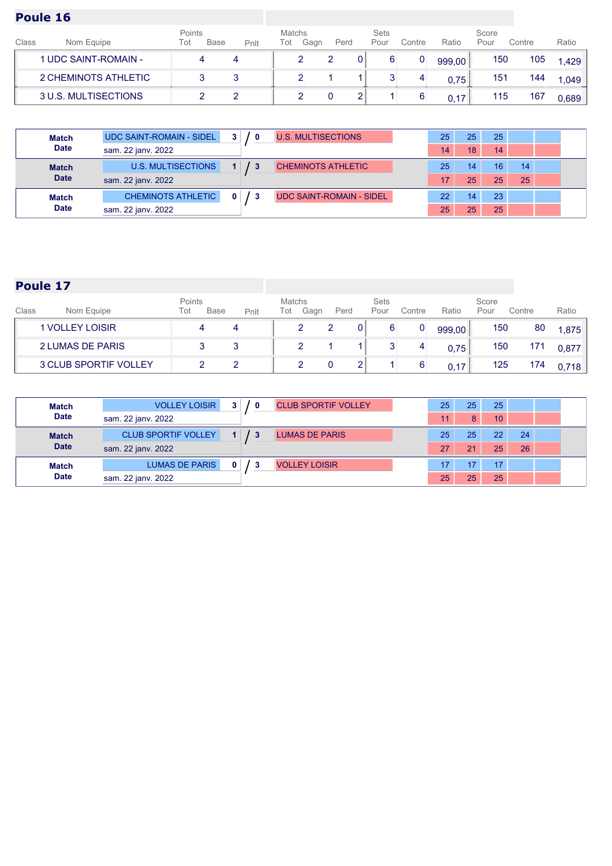| Class | Nom Equipe           | Points<br>Tot | <b>Base</b> | Pnlt | Matchs<br>Tot | Gagn | Perd | Sets<br>Pour | Contre | Ratio  | Score<br>Pour | Contre | Ratio |
|-------|----------------------|---------------|-------------|------|---------------|------|------|--------------|--------|--------|---------------|--------|-------|
|       | 1 UDC SAINT-ROMAIN - |               |             |      |               |      |      |              | 0      | 999,00 | 150           | 105    | 1.429 |
|       | 2 CHEMINOTS ATHLETIC |               |             |      |               |      |      |              |        | 0,75   | 151           | 144    | 1.049 |
|       | 3 U.S. MULTISECTIONS |               |             |      |               |      |      |              |        | 0.17   | 115           | 167    | 0.689 |

| <b>Match</b> | UDC SAINT-ROMAIN - SIDEL  | 3 <sup>1</sup><br>$\mathbf{0}$ | <b>U.S. MULTISECTIONS</b>       | 25 | 25 | 25 |    |  |
|--------------|---------------------------|--------------------------------|---------------------------------|----|----|----|----|--|
| <b>Date</b>  | sam. 22 janv. 2022        |                                |                                 | 14 | 18 | 14 |    |  |
| <b>Match</b> | <b>U.S. MULTISECTIONS</b> |                                | <b>CHEMINOTS ATHLETIC</b>       | 25 | 14 | 16 | 14 |  |
| <b>Date</b>  | sam. 22 jany. 2022        |                                |                                 | 17 | 25 | 25 | 25 |  |
| <b>Match</b> | <b>CHEMINOTS ATHLETIC</b> |                                | <b>UDC SAINT-ROMAIN - SIDEL</b> | 22 | 14 | 23 |    |  |
| <b>Date</b>  | sam. 22 jany. 2022        |                                |                                 | 25 | 25 | 25 |    |  |

| Class | Nom Equipe                   | Points<br>Tot | <b>Base</b> | Pnlt | Matchs<br>Tot | Gagn | Perd |   | Sets<br>Pour | Contre      | Ratio  | Score<br>Pour | Contre | Ratio |
|-------|------------------------------|---------------|-------------|------|---------------|------|------|---|--------------|-------------|--------|---------------|--------|-------|
|       | <b>1 VOLLEY LOISIR</b>       |               |             |      |               |      |      | 0 |              | $\mathbf 0$ | 999,00 | 150           | 80     | 1.875 |
|       | 2 LUMAS DE PARIS             |               |             |      |               | -    |      |   |              |             | 0,75   | 150           | 171    | 0.877 |
|       | <b>3 CLUB SPORTIF VOLLEY</b> |               |             |      |               |      |      |   |              |             | 0.17   | 125           | 174    | 0.718 |

| <b>Match</b> | <b>VOLLEY LOISIR</b>       | 3 <sup>1</sup><br>- 0 | <b>CLUB SPORTIF VOLLEY</b> | 25 | 25 <sub>2</sub> | 25 |    |  |
|--------------|----------------------------|-----------------------|----------------------------|----|-----------------|----|----|--|
| <b>Date</b>  | sam. 22 jany. 2022         |                       |                            | 11 | 8               | 10 |    |  |
| <b>Match</b> | <b>CLUB SPORTIF VOLLEY</b> |                       | <b>LUMAS DE PARIS</b>      | 25 | 25              | 22 | 24 |  |
| <b>Date</b>  | sam. 22 jany. 2022         |                       |                            | 27 | 21              | 25 | 26 |  |
| <b>Match</b> | <b>LUMAS DE PARIS</b>      |                       | <b>VOLLEY LOISIR</b>       | 17 | 17              | 17 |    |  |
| <b>Date</b>  | sam. 22 jany. 2022         |                       |                            | 25 | 25              | 25 |    |  |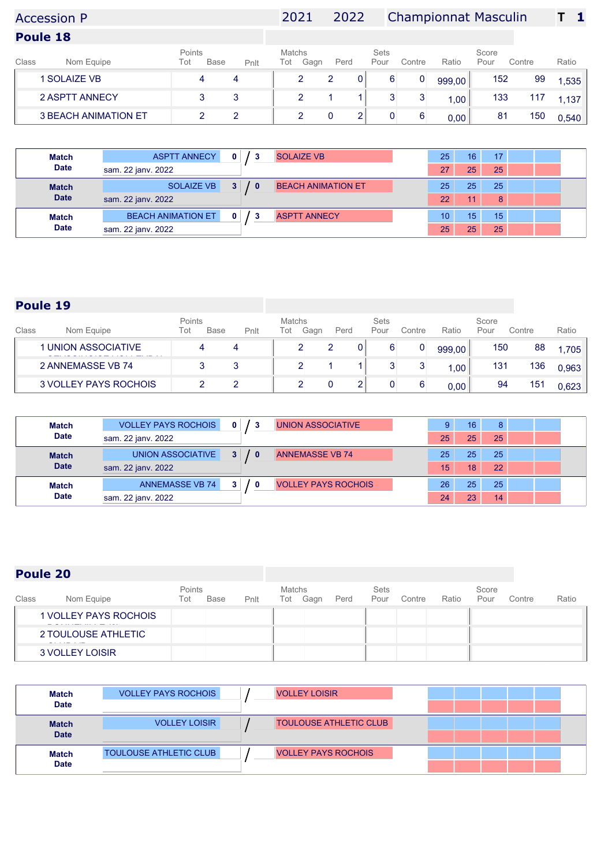# Accession P 2021 2022 Championnat Masculin **T 1**

**Poule 18**

| 152<br>1 SOLAIZE VB<br>99<br>6<br>4<br>999,00<br>4<br>1,535<br>U<br>133<br>2 ASPTT ANNECY<br>3<br>117<br>3<br>1.137<br>1,00<br><b>3 BEACH ANIMATION ET</b><br>150<br>81 | Class | Nom Equipe | Points<br>Tot | <b>Base</b> | Pnlt | Matchs<br>Tot | Gagn | Perd | <b>Sets</b><br>Pour | Contre | Ratio | Score<br>Pour | Contre | Ratio |
|-------------------------------------------------------------------------------------------------------------------------------------------------------------------------|-------|------------|---------------|-------------|------|---------------|------|------|---------------------|--------|-------|---------------|--------|-------|
|                                                                                                                                                                         |       |            |               |             |      |               |      |      |                     |        |       |               |        |       |
|                                                                                                                                                                         |       |            |               |             |      |               |      |      |                     |        |       |               |        |       |
|                                                                                                                                                                         |       |            |               |             |      |               |      |      |                     |        | 0,00  |               |        | 0,540 |

| <b>Match</b> | <b>ASPTT ANNECY</b>       | 0                   | <b>SOLAIZE VB</b>         | 25 | 16 | 17 |  |
|--------------|---------------------------|---------------------|---------------------------|----|----|----|--|
| <b>Date</b>  | sam. 22 jany. 2022        |                     |                           | 27 | 25 | 25 |  |
| <b>Match</b> | <b>SOLAIZE VB</b>         | 3 <sup>1</sup><br>0 | <b>BEACH ANIMATION ET</b> | 25 | 25 | 25 |  |
| <b>Date</b>  | sam. 22 janv. 2022        |                     |                           | 22 | 11 | 8  |  |
| <b>Match</b> | <b>BEACH ANIMATION ET</b> | 0                   | <b>ASPTT ANNECY</b>       | 10 | 15 | 15 |  |
| <b>Date</b>  | sam. 22 jany. 2022        |                     |                           | 25 | 25 | 25 |  |

## **Poule 19**

| Class | Points<br><b>Base</b><br>Tot<br>Nom Equipe<br>Pnlt |  | Matchs<br>Perd<br>Tot<br>Gagn |  | <b>Sets</b><br>Pour<br>Contre |   | Score<br>Ratio<br>Pour |   | Contre | Ratio |     |       |
|-------|----------------------------------------------------|--|-------------------------------|--|-------------------------------|---|------------------------|---|--------|-------|-----|-------|
|       | <b>1 UNION ASSOCIATIVE</b>                         |  |                               |  |                               | 2 |                        | 0 | 999,00 | 150   | 88  | 1.705 |
|       | 2 ANNEMASSE VB 74                                  |  |                               |  |                               |   |                        |   | 1,00   | 131   | 136 | 0.963 |
|       | 3 VOLLEY PAYS ROCHOIS                              |  |                               |  |                               |   |                        | 6 | 0,00   | 94    | 151 | 0.623 |

| <b>Match</b> | <b>VOLLEY PAYS ROCHOIS</b><br><b>UNION ASSOCIATIVE</b><br>$\mathbf{0}$<br>3        | 9               | 16 | 8  |  |
|--------------|------------------------------------------------------------------------------------|-----------------|----|----|--|
| <b>Date</b>  | sam. 22 janv. 2022                                                                 | 25              | 25 | 25 |  |
| <b>Match</b> | <b>UNION ASSOCIATIVE</b><br>3 <sup>1</sup><br><b>ANNEMASSE VB 74</b><br>$\sqrt{0}$ | 25              | 25 | 25 |  |
| <b>Date</b>  | sam. 22 jany. 2022                                                                 | 15              | 18 | 22 |  |
| <b>Match</b> | <b>ANNEMASSE VB 74</b><br><b>VOLLEY PAYS ROCHOIS</b><br>3 <sup>1</sup><br>0        | 26 <sup>1</sup> | 25 | 25 |  |
| <b>Date</b>  | sam. 22 janv. 2022                                                                 | 24              | 23 | 14 |  |

| Class | Nom Equipe            | Points<br>Tot | Base | Pnlt | <b>Matchs</b><br>Tot | Gagn | Perd | <b>Sets</b><br>Pour | Contre | Ratio | Score<br>Pour | Contre | Ratio |
|-------|-----------------------|---------------|------|------|----------------------|------|------|---------------------|--------|-------|---------------|--------|-------|
|       | 1 VOLLEY PAYS ROCHOIS |               |      |      |                      |      |      |                     |        |       |               |        |       |
|       | 2 TOULOUSE ATHLETIC   |               |      |      |                      |      |      |                     |        |       |               |        |       |
|       | 3 VOLLEY LOISIR       |               |      |      |                      |      |      |                     |        |       |               |        |       |

| Match<br><b>Date</b>        | <b>VOLLEY PAYS ROCHOIS</b>    | <b>VOLLEY LOISIR</b>          |  |  |  |
|-----------------------------|-------------------------------|-------------------------------|--|--|--|
|                             |                               |                               |  |  |  |
| <b>Match</b><br><b>Date</b> | <b>VOLLEY LOISIR</b>          | <b>TOULOUSE ATHLETIC CLUB</b> |  |  |  |
|                             |                               |                               |  |  |  |
| <b>Match</b>                | <b>TOULOUSE ATHLETIC CLUB</b> | <b>VOLLEY PAYS ROCHOIS</b>    |  |  |  |
| <b>Date</b>                 |                               |                               |  |  |  |